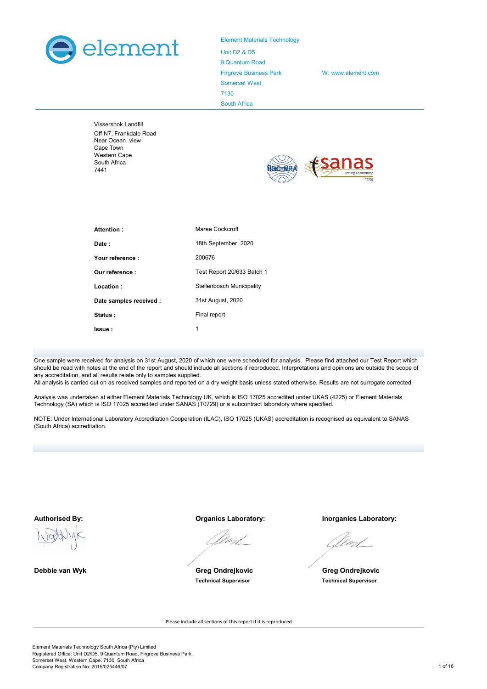

Element Materials Technology Unit D2 & D5 9 Quantum Road Firgrove Business Park W: www.element.com Somerset West 7130 South Africa

| Vissershok Landfill<br>Off N7, Frankdale Road<br>Near Ocean view<br>Cape Town<br>Western Cape<br>South Africa<br>7441 | <b>Testing Laboratory</b><br>T0729<br>$\overline{\mathcal{L}_{\text{right}}}$ |
|-----------------------------------------------------------------------------------------------------------------------|-------------------------------------------------------------------------------|
| Attention:                                                                                                            | Maree Cockcroft                                                               |
| Date:                                                                                                                 | 18th September, 2020                                                          |
| Your reference:                                                                                                       | 200676                                                                        |
| Our reference:                                                                                                        | Test Report 20/633 Batch 1                                                    |
| Location:                                                                                                             | Stellenbosch Municipality                                                     |
| Date samples received :                                                                                               | 31st August, 2020                                                             |
| Status:                                                                                                               | Final report                                                                  |
| Issue ·                                                                                                               | 1                                                                             |

One sample were received for analysis on 31st August, 2020 of which one were scheduled for analysis. Please find attached our Test Report which should be read with notes at the end of the report and should include all sections if reproduced. Interpretations and opinions are outside the scope of any accreditation, and all results relate only to samples supplied.

All analysis is carried out on as received samples and reported on a dry weight basis unless stated otherwise. Results are not surrogate corrected.

Analysis was undertaken at either Element Materials Technology UK, which is ISO 17025 accredited under UKAS (4225) or Element Materials Technology (SA) which is ISO 17025 accredited under SANAS (T0729) or a subcontract laboratory where specified.

NOTE: Under International Laboratory Accreditation Cooperation (ILAC), ISO 17025 (UKAS) accreditation is recognised as equivalent to SANAS (South Africa) accreditation.

Authorised By: Organics Laboratory: Inorganics Laboratory:

Debbie van Wyk Greg Ondrejkovic

Greg Ondrejkovic Technical Supervisor Technical Supervisor

Please include all sections of this report if it is reproduced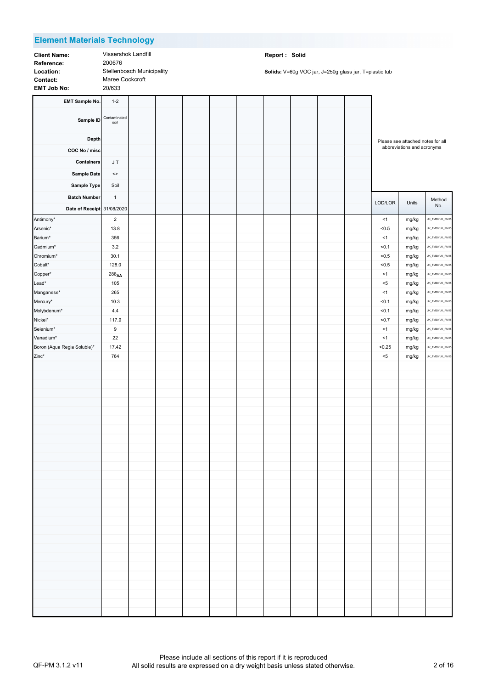| <b>Client Name</b> |
|--------------------|
| Reference:         |
| Location:          |
| Contact:           |
| <b>CMT IAK NA</b>  |

Client Name: Vissershok Landfill **Client Containers and Client Name:** Report : Solid EMT Job No: 20/633 Stellenbosch Municipality Maree Cockcroft 200676

| <b>EMT Sample No.</b>       | $1 - 2$                |  |  |  |  |             |                                                                 |                                    |
|-----------------------------|------------------------|--|--|--|--|-------------|-----------------------------------------------------------------|------------------------------------|
| Sample ID                   | Contaminated<br>soil   |  |  |  |  |             |                                                                 |                                    |
| <b>Depth</b>                |                        |  |  |  |  |             |                                                                 |                                    |
| COC No / misc               |                        |  |  |  |  |             | Please see attached notes for all<br>abbreviations and acronyms |                                    |
|                             |                        |  |  |  |  |             |                                                                 |                                    |
| Containers                  | J T                    |  |  |  |  |             |                                                                 |                                    |
| <b>Sample Date</b>          | $\mathrel{<}$          |  |  |  |  |             |                                                                 |                                    |
| Sample Type                 | Soil                   |  |  |  |  |             |                                                                 |                                    |
| <b>Batch Number</b>         | $\overline{1}$         |  |  |  |  |             |                                                                 |                                    |
| Date of Receipt 31/08/2020  |                        |  |  |  |  | LOD/LOR     | Units                                                           | Method<br>No.                      |
|                             |                        |  |  |  |  |             |                                                                 |                                    |
| Antimony*                   | $\overline{2}$<br>13.8 |  |  |  |  | <1<br>< 0.5 | mg/kg                                                           | UK_TM30/UK_PM15<br>UK_TM30/UK_PM15 |
| Arsenic*<br>Barium*         | 356                    |  |  |  |  | < 1         | mg/kg<br>mg/kg                                                  | UK_TM30/UK_PM15                    |
| Cadmium*                    | 3.2                    |  |  |  |  | < 0.1       | mg/kg                                                           | UK_TM30/UK_PM15                    |
| Chromium*                   | 30.1                   |  |  |  |  | < 0.5       | mg/kg                                                           | UK_TM30/UK_PM15                    |
| Cobalt*                     | 128.0                  |  |  |  |  | < 0.5       | mg/kg                                                           | UK_TM30/UK_PM15                    |
| Copper*                     | $288_{\sf AA}$         |  |  |  |  | < 1         | mg/kg                                                           | UK_TM30/UK_PM15                    |
| Lead*                       | 105                    |  |  |  |  | $< 5$       | mg/kg                                                           | UK_TM30/UK_PM15                    |
| Manganese*                  | 265                    |  |  |  |  | < 1         | mg/kg                                                           | UK_TM30/UK_PM15                    |
| Mercury*                    | 10.3                   |  |  |  |  | < 0.1       | mg/kg                                                           | UK_TM30/UK_PM15                    |
| Molybdenum*                 | 4.4                    |  |  |  |  | < 0.1       | mg/kg                                                           | UK_TM30/UK_PM15                    |
| Nickel*                     | 117.9                  |  |  |  |  | < 0.7       | mg/kg                                                           | UK_TM30/UK_PM15                    |
| Selenium*                   | 9                      |  |  |  |  | <1          | mg/kg                                                           | UK_TM30/UK_PM15                    |
| Vanadium*                   | 22                     |  |  |  |  | < 1         | mg/kg                                                           | UK_TM30/UK_PM15                    |
| Boron (Aqua Regia Soluble)* | 17.42                  |  |  |  |  | < 0.25      | mg/kg                                                           | UK_TM30/UK_PM15                    |
| Zinc*                       | 764                    |  |  |  |  | $< 5$       | mg/kg                                                           | UK_TM30/UK_PM15                    |
|                             |                        |  |  |  |  |             |                                                                 |                                    |
|                             |                        |  |  |  |  |             |                                                                 |                                    |
|                             |                        |  |  |  |  |             |                                                                 |                                    |
|                             |                        |  |  |  |  |             |                                                                 |                                    |
|                             |                        |  |  |  |  |             |                                                                 |                                    |
|                             |                        |  |  |  |  |             |                                                                 |                                    |
|                             |                        |  |  |  |  |             |                                                                 |                                    |
|                             |                        |  |  |  |  |             |                                                                 |                                    |
|                             |                        |  |  |  |  |             |                                                                 |                                    |
|                             |                        |  |  |  |  |             |                                                                 |                                    |
|                             |                        |  |  |  |  |             |                                                                 |                                    |
|                             |                        |  |  |  |  |             |                                                                 |                                    |
|                             |                        |  |  |  |  |             |                                                                 |                                    |
|                             |                        |  |  |  |  |             |                                                                 |                                    |
|                             |                        |  |  |  |  |             |                                                                 |                                    |
|                             |                        |  |  |  |  |             |                                                                 |                                    |
|                             |                        |  |  |  |  |             |                                                                 |                                    |
|                             |                        |  |  |  |  |             |                                                                 |                                    |
|                             |                        |  |  |  |  |             |                                                                 |                                    |
|                             |                        |  |  |  |  |             |                                                                 |                                    |
|                             |                        |  |  |  |  |             |                                                                 |                                    |
|                             |                        |  |  |  |  |             |                                                                 |                                    |
|                             |                        |  |  |  |  |             |                                                                 |                                    |
|                             |                        |  |  |  |  |             |                                                                 |                                    |
|                             |                        |  |  |  |  |             |                                                                 |                                    |
|                             |                        |  |  |  |  |             |                                                                 |                                    |
|                             |                        |  |  |  |  |             |                                                                 |                                    |
|                             |                        |  |  |  |  |             |                                                                 |                                    |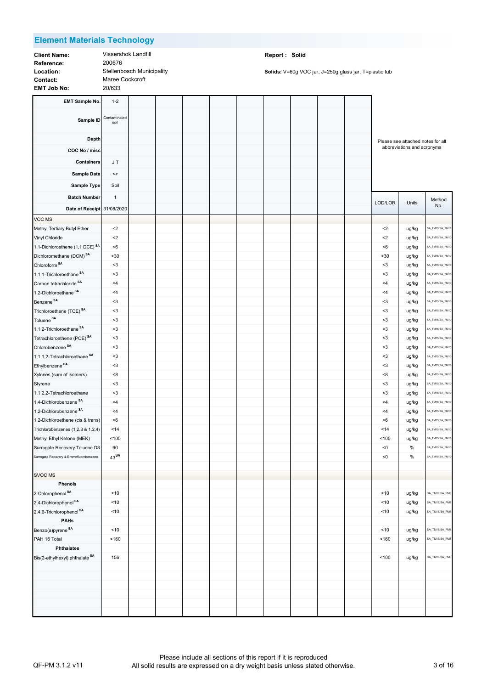

Client Name: Vissershok Landfill **Client Containers and Client Name:** Report : Solid 200676 Stellenbosch Municipality Maree Cockcroft

Location: Stellenbosch Municipality and the solids: V=60g VOC jar, J=250g glass jar, T=plastic tub

| <b>EMT Sample No.</b>                      | $1 - 2$              |  |  |  |  |         |                                                                 |                                    |
|--------------------------------------------|----------------------|--|--|--|--|---------|-----------------------------------------------------------------|------------------------------------|
| Sample ID                                  | Contaminated<br>soil |  |  |  |  |         |                                                                 |                                    |
| <b>Depth</b>                               |                      |  |  |  |  |         |                                                                 |                                    |
|                                            |                      |  |  |  |  |         | Please see attached notes for all<br>abbreviations and acronyms |                                    |
| COC No / misc                              |                      |  |  |  |  |         |                                                                 |                                    |
| Containers                                 | JT.                  |  |  |  |  |         |                                                                 |                                    |
| <b>Sample Date</b>                         | $\mathrel{<}$        |  |  |  |  |         |                                                                 |                                    |
| Sample Type                                | Soil                 |  |  |  |  |         |                                                                 |                                    |
| <b>Batch Number</b>                        | $\mathbf{1}$         |  |  |  |  |         |                                                                 | Method                             |
| Date of Receipt 31/08/2020                 |                      |  |  |  |  | LOD/LOR | Units                                                           | No.                                |
| VOC MS                                     |                      |  |  |  |  |         |                                                                 |                                    |
|                                            |                      |  |  |  |  |         |                                                                 | SA_TM15/SA_PM10                    |
| Methyl Tertiary Butyl Ether                | $2$<br>$2$           |  |  |  |  | $2$     | ug/kg                                                           | SA_TM15/SA_PM10                    |
| Vinyl Chloride                             |                      |  |  |  |  | $2$     | ug/kg                                                           |                                    |
| 1,1-Dichloroethene (1,1 DCE) <sup>SA</sup> | $6$                  |  |  |  |  | <6      | ug/kg                                                           | SA_TM15/SA_PM10<br>SA_TM15/SA_PM10 |
| Dichloromethane (DCM) <sup>SA</sup>        | $30$                 |  |  |  |  | $30$    | ug/kg                                                           |                                    |
| Chloroform <sup>SA</sup>                   | $3$                  |  |  |  |  | $3$     | ug/kg                                                           | SA_TM15/SA_PM10                    |
| 1,1,1-Trichloroethane <sup>SA</sup>        | $3$                  |  |  |  |  | $3$     | ug/kg                                                           | SA_TM15/SA_PM10                    |
| Carbon tetrachloride <sup>SA</sup>         | <4                   |  |  |  |  | <4      | ug/kg                                                           | SA_TM15/SA_PM10                    |
| 1,2-Dichloroethane <sup>SA</sup>           | <4                   |  |  |  |  | $<$ 4   | ug/kg                                                           | SA_TM15/SA_PM10                    |
| Benzene <sup>SA</sup>                      | $3$                  |  |  |  |  | $3$     | ug/kg                                                           | SA_TM15/SA_PM10                    |
| Trichloroethene (TCE) <sup>SA</sup>        | $3$                  |  |  |  |  | $3$     | ug/kg                                                           | SA_TM15/SA_PM10                    |
| Toluene <sup>SA</sup>                      | $3$                  |  |  |  |  | $3$     | ug/kg                                                           | SA_TM15/SA_PM10                    |
| 1,1,2-Trichloroethane <sup>SA</sup>        | $3$                  |  |  |  |  | $3$     | ug/kg                                                           | SA_TM15/SA_PM10                    |
| Tetrachloroethene (PCE) <sup>SA</sup>      | $3$                  |  |  |  |  | $3$     | ug/kg                                                           | SA_TM15/SA_PM10                    |
| Chlorobenzene <sup>SA</sup>                | $3$                  |  |  |  |  | $3$     | ug/kg                                                           | SA_TM15/SA_PM10                    |
| 1,1,1,2-Tetrachloroethane <sup>SA</sup>    | $3$                  |  |  |  |  | $3$     | ug/kg                                                           | SA_TM15/SA_PM10                    |
| Ethylbenzene <sup>SA</sup>                 | $3$                  |  |  |  |  | $3$     | ug/kg                                                           | SA_TM15/SA_PM10                    |
| Xylenes (sum of isomers)                   | < 8                  |  |  |  |  | < 8     | ug/kg                                                           | SA_TM15/SA_PM10                    |
| Styrene                                    | $3$                  |  |  |  |  | $3$     | ug/kg                                                           | SA_TM15/SA_PM10                    |
| 1,1,2,2-Tetrachloroethane                  | $3$                  |  |  |  |  | $3$     | ug/kg                                                           | SA_TM15/SA_PM10                    |
| 1,4-Dichlorobenzene <sup>SA</sup>          | <4                   |  |  |  |  | <4      | ug/kg                                                           | SA_TM15/SA_PM10                    |
| 1,2-Dichlorobenzene SA                     | $<$ 4                |  |  |  |  | $<$ 4   | ug/kg                                                           | SA_TM15/SA_PM10                    |
| 1,2-Dichloroethene (cis & trans)           | < 6                  |  |  |  |  | < 6     | ug/kg                                                           | SA_TM15/SA_PM10                    |
| Trichlorobenzenes (1,2,3 & 1,2,4)          | 14                   |  |  |  |  | $14$    | ug/kg                                                           | SA_TM15/SA_PM10                    |
| Methyl Ethyl Ketone (MEK)                  | 100                  |  |  |  |  | 100     | ug/kg                                                           | SA_TM15/SA_PM10                    |
| Surrogate Recovery Toluene D8              | 60                   |  |  |  |  | < 0     | $\%$                                                            | SA_TM15/SA_PM10                    |
| Surrogate Recovery 4-Bromofluorobenzene    | $43^{\text{SV}}$     |  |  |  |  | < 0     | $\%$                                                            | SA_TM15/SA_PM10                    |
|                                            |                      |  |  |  |  |         |                                                                 |                                    |
| <b>SVOC MS</b>                             |                      |  |  |  |  |         |                                                                 |                                    |
| Phenols                                    |                      |  |  |  |  |         |                                                                 |                                    |
| 2-Chlorophenol <sup>SA</sup>               | ~10                  |  |  |  |  | ~10     | ug/kg                                                           | SA_TM16/SA_PM8                     |
| 2,4-Dichlorophenol <sup>SA</sup>           | ~10                  |  |  |  |  | ~10     | ug/kg                                                           | SA_TM16/SA_PM8                     |
| 2,4,6-Trichlorophenol <sup>SA</sup>        | ~10                  |  |  |  |  | ~10     | ug/kg                                                           | SA_TM16/SA_PM8                     |
| PAHs                                       |                      |  |  |  |  |         |                                                                 |                                    |
| Benzo(a)pyrene <sup>SA</sup>               | ~10                  |  |  |  |  | ~10     |                                                                 | SA_TM16/SA_PM8                     |
|                                            |                      |  |  |  |  |         | ug/kg                                                           | SA_TM16/SA_PM8                     |
| PAH 16 Total<br><b>Phthalates</b>          | 160                  |  |  |  |  | 160     | ug/kg                                                           |                                    |
|                                            |                      |  |  |  |  |         |                                                                 |                                    |
| Bis(2-ethylhexyl) phthalate <sup>SA</sup>  | 156                  |  |  |  |  | 100     | ug/kg                                                           | SA_TM16/SA_PM8                     |
|                                            |                      |  |  |  |  |         |                                                                 |                                    |
|                                            |                      |  |  |  |  |         |                                                                 |                                    |
|                                            |                      |  |  |  |  |         |                                                                 |                                    |
|                                            |                      |  |  |  |  |         |                                                                 |                                    |
|                                            |                      |  |  |  |  |         |                                                                 |                                    |
|                                            |                      |  |  |  |  |         |                                                                 |                                    |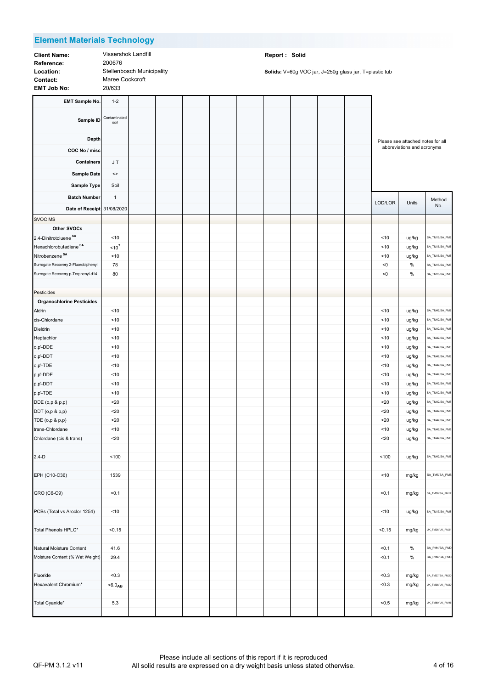| <b>Client Name</b> |  |  |  |  |  |  |  |  |  |
|--------------------|--|--|--|--|--|--|--|--|--|
| Reference:         |  |  |  |  |  |  |  |  |  |
| Location:          |  |  |  |  |  |  |  |  |  |
| Contact:           |  |  |  |  |  |  |  |  |  |
| <b>CMT IAK MA</b>  |  |  |  |  |  |  |  |  |  |

Client Name: Vissershok Landfill **Client Containers and Client Name:** Report : Solid EMT Job No: 20/633 Stellenbosch Municipality Maree Cockcroft 200676

| <b>EMT Sample No.</b>               | $1 - 2$              |  |  |  |  |              |                                   |                                  |
|-------------------------------------|----------------------|--|--|--|--|--------------|-----------------------------------|----------------------------------|
| Sample ID                           | Contaminated<br>soil |  |  |  |  |              |                                   |                                  |
| Depth                               |                      |  |  |  |  |              | Please see attached notes for all |                                  |
| COC No / misc                       |                      |  |  |  |  |              | abbreviations and acronyms        |                                  |
| Containers                          | J T                  |  |  |  |  |              |                                   |                                  |
| <b>Sample Date</b>                  |                      |  |  |  |  |              |                                   |                                  |
|                                     | $\mathrel{<}$        |  |  |  |  |              |                                   |                                  |
| Sample Type                         | Soil                 |  |  |  |  |              |                                   |                                  |
| <b>Batch Number</b>                 | $\mathbf{1}$         |  |  |  |  | LOD/LOR      | Units                             | Method                           |
| Date of Receipt 31/08/2020          |                      |  |  |  |  |              |                                   | No.                              |
| <b>SVOC MS</b>                      |                      |  |  |  |  |              |                                   |                                  |
| Other SVOCs                         |                      |  |  |  |  |              |                                   |                                  |
| 2,4-Dinitrotoluene <sup>SA</sup>    | ~10                  |  |  |  |  | ~10          | ug/kg                             | SA_TM16/SA_PM8                   |
| Hexachlorobutadiene <sup>SA</sup>   | $10^+$               |  |  |  |  | < 10         | ug/kg                             | SA_TM16/SA_PM8                   |
| Nitrobenzene <sup>SA</sup>          | ~10                  |  |  |  |  | < 10         | ug/kg                             | SA_TM16/SA_PM8                   |
| Surrogate Recovery 2-Fluorobiphenyl | 78                   |  |  |  |  | < 0          | $\%$                              | SA_TM16/SA_PM8                   |
| Surrogate Recovery p-Terphenyl-d14  | 80                   |  |  |  |  | < 0          | $\%$                              | SA_TM16/SA_PM8                   |
|                                     |                      |  |  |  |  |              |                                   |                                  |
| Pesticides                          |                      |  |  |  |  |              |                                   |                                  |
| <b>Organochlorine Pesticides</b>    |                      |  |  |  |  |              |                                   |                                  |
| Aldrin                              | ~10                  |  |  |  |  | ~10          | ug/kg                             | SA_TM42/SA_PM8                   |
| cis-Chlordane                       | ~10                  |  |  |  |  | < 10         | ug/kg                             | SA_TM42/SA_PM8<br>SA_TM42/SA_PM8 |
| Dieldrin                            | ~10<br>~10           |  |  |  |  | < 10         | ug/kg                             | SA_TM42/SA_PM8                   |
| Heptachlor                          | ~10                  |  |  |  |  | < 10<br>< 10 | ug/kg                             | SA_TM42/SA_PM8                   |
| o,p'-DDE<br>o,p'-DDT                | ~10                  |  |  |  |  | ~10          | ug/kg<br>ug/kg                    | SA_TM42/SA_PM8                   |
| o,p'-TDE                            | ~10                  |  |  |  |  | < 10         | ug/kg                             | SA_TM42/SA_PM8                   |
| p,p'-DDE                            | ~10                  |  |  |  |  | < 10         | ug/kg                             | SA_TM42/SA_PM8                   |
| p,p'-DDT                            | ~10                  |  |  |  |  | < 10         | ug/kg                             | SA_TM42/SA_PM8                   |
| p,p'-TDE                            | ~10                  |  |  |  |  | < 10         | ug/kg                             | SA_TM42/SA_PM8                   |
| DDE (0,p & p,p)                     | $20$                 |  |  |  |  | $20$         | ug/kg                             | SA_TM42/SA_PM8                   |
| DDT (o,p & p,p)                     | $20$                 |  |  |  |  | $20$         | ug/kg                             | SA_TM42/SA_PM8                   |
| TDE (0,p & p,p)                     | $20$                 |  |  |  |  | $20$         | ug/kg                             | SA_TM42/SA_PM8                   |
| trans-Chlordane                     | ~10                  |  |  |  |  | < 10         | ug/kg                             | SA_TM42/SA_PM8                   |
| Chlordane (cis & trans)             | $20$                 |  |  |  |  | $20$         | ug/kg                             | SA_TM42/SA_PM8                   |
|                                     |                      |  |  |  |  |              |                                   |                                  |
| $2,4-D$                             | 100                  |  |  |  |  | 100          | ug/kg                             | SA_TM42/SA_PM8                   |
|                                     |                      |  |  |  |  |              |                                   |                                  |
| EPH (C10-C36)                       | 1539                 |  |  |  |  | < 10         | mg/kg                             | SA_TM5/SA_PM8                    |
|                                     |                      |  |  |  |  |              |                                   |                                  |
| GRO (C6-C9)                         | < 0.1                |  |  |  |  | < 0.1        | mg/kg                             | SA_TM36/SA_PM12                  |
|                                     |                      |  |  |  |  |              |                                   |                                  |
| PCBs (Total vs Aroclor 1254)        | ~10                  |  |  |  |  | ~10          | ug/kg                             | SA_TM17/SA_PM8                   |
|                                     |                      |  |  |  |  |              |                                   |                                  |
| Total Phenols HPLC*                 | < 0.15               |  |  |  |  | < 0.15       | mg/kg                             | UK_TM26/UK_PM21                  |
| Natural Moisture Content            | 41.6                 |  |  |  |  | < 0.1        | $\%$                              | SA_PM4/SA_PM0                    |
| Moisture Content (% Wet Weight)     | 29.4                 |  |  |  |  | < 0.1        | %                                 | SA_PM4/SA_PM0                    |
|                                     |                      |  |  |  |  |              |                                   |                                  |
| Fluoride                            | < 0.3                |  |  |  |  | < 0.3        | mg/kg                             | SA_TM27/SA_PM20                  |
| Hexavalent Chromium*                | $<6.0$ <sub>AB</sub> |  |  |  |  | < 0.3        | mg/kg                             | UK_TM38/UK_PM20                  |
|                                     |                      |  |  |  |  |              |                                   |                                  |
| Total Cyanide*                      | 5.3                  |  |  |  |  | < 0.5        | mg/kg                             | UK_TM89/UK_PM45                  |
|                                     |                      |  |  |  |  |              |                                   |                                  |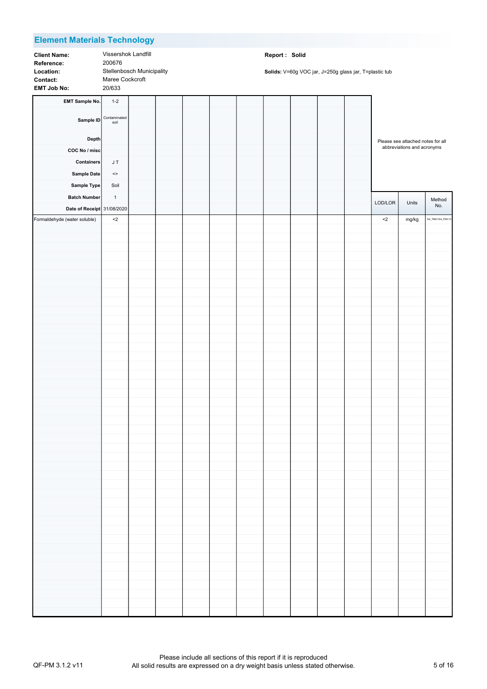| <b>Client Name:</b> | Vissers  |
|---------------------|----------|
| Reference:          | 200676   |
| Location:           | Stellent |
| Contact:            | Maree (  |
| <b>EMT Job No:</b>  | 20/633   |

Client Name: Vissershok Landfill **Client Containers and Client Name:** Report : Solid 200676 Stellenbosch Municipality Maree Cockcroft

| Sample ID Contaminated<br><b>Depth</b><br>Please see attached notes for all<br>abbreviations and acronyms<br>COC No / misc<br>Containers<br>$\sf J$ T<br>Sample Date<br>$\mathrel{<}$<br>Sample Type<br>Soil<br><b>Batch Number</b><br>$\mathbf{1}$<br>Method<br>LOD/LOR<br>Units<br>No.<br>Date of Receipt 31/08/2020<br>Formaldehyde (water soluble)<br>$\mathord{\text{<}} 2$<br>$\mathord{\text{<}} 2$<br>mg/kg<br>SA_TM51/SA_PM112 |
|-----------------------------------------------------------------------------------------------------------------------------------------------------------------------------------------------------------------------------------------------------------------------------------------------------------------------------------------------------------------------------------------------------------------------------------------|
|                                                                                                                                                                                                                                                                                                                                                                                                                                         |
|                                                                                                                                                                                                                                                                                                                                                                                                                                         |
|                                                                                                                                                                                                                                                                                                                                                                                                                                         |
|                                                                                                                                                                                                                                                                                                                                                                                                                                         |
|                                                                                                                                                                                                                                                                                                                                                                                                                                         |
|                                                                                                                                                                                                                                                                                                                                                                                                                                         |
|                                                                                                                                                                                                                                                                                                                                                                                                                                         |
|                                                                                                                                                                                                                                                                                                                                                                                                                                         |
|                                                                                                                                                                                                                                                                                                                                                                                                                                         |
|                                                                                                                                                                                                                                                                                                                                                                                                                                         |
|                                                                                                                                                                                                                                                                                                                                                                                                                                         |
|                                                                                                                                                                                                                                                                                                                                                                                                                                         |
|                                                                                                                                                                                                                                                                                                                                                                                                                                         |
|                                                                                                                                                                                                                                                                                                                                                                                                                                         |
|                                                                                                                                                                                                                                                                                                                                                                                                                                         |
|                                                                                                                                                                                                                                                                                                                                                                                                                                         |
|                                                                                                                                                                                                                                                                                                                                                                                                                                         |
|                                                                                                                                                                                                                                                                                                                                                                                                                                         |
|                                                                                                                                                                                                                                                                                                                                                                                                                                         |
|                                                                                                                                                                                                                                                                                                                                                                                                                                         |
|                                                                                                                                                                                                                                                                                                                                                                                                                                         |
|                                                                                                                                                                                                                                                                                                                                                                                                                                         |
|                                                                                                                                                                                                                                                                                                                                                                                                                                         |
|                                                                                                                                                                                                                                                                                                                                                                                                                                         |
|                                                                                                                                                                                                                                                                                                                                                                                                                                         |
|                                                                                                                                                                                                                                                                                                                                                                                                                                         |
|                                                                                                                                                                                                                                                                                                                                                                                                                                         |
|                                                                                                                                                                                                                                                                                                                                                                                                                                         |
|                                                                                                                                                                                                                                                                                                                                                                                                                                         |
|                                                                                                                                                                                                                                                                                                                                                                                                                                         |
|                                                                                                                                                                                                                                                                                                                                                                                                                                         |
|                                                                                                                                                                                                                                                                                                                                                                                                                                         |
|                                                                                                                                                                                                                                                                                                                                                                                                                                         |
|                                                                                                                                                                                                                                                                                                                                                                                                                                         |
|                                                                                                                                                                                                                                                                                                                                                                                                                                         |
|                                                                                                                                                                                                                                                                                                                                                                                                                                         |
|                                                                                                                                                                                                                                                                                                                                                                                                                                         |
|                                                                                                                                                                                                                                                                                                                                                                                                                                         |
|                                                                                                                                                                                                                                                                                                                                                                                                                                         |
|                                                                                                                                                                                                                                                                                                                                                                                                                                         |
|                                                                                                                                                                                                                                                                                                                                                                                                                                         |
|                                                                                                                                                                                                                                                                                                                                                                                                                                         |
|                                                                                                                                                                                                                                                                                                                                                                                                                                         |
|                                                                                                                                                                                                                                                                                                                                                                                                                                         |
|                                                                                                                                                                                                                                                                                                                                                                                                                                         |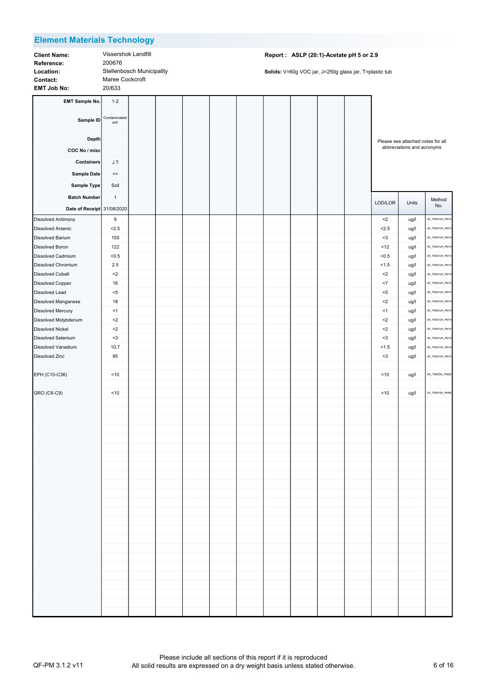| <b>Client Name</b> |
|--------------------|
| Reference:         |
| Location:          |
| Contact:           |
| <b>CMT IAK NA</b>  |

EMT Job No: 20/633 Stellenbosch Municipality Maree Cockcroft Vissershok Landfill 200676

### e: Client Name of Name of Name of Name of Name of Name of Name of Name of Name of Assembly Name of Assembly Na

| <b>EMT Sample No.</b>      | $1 - 2$                |  |  |  |  |         |                                                                 |                 |
|----------------------------|------------------------|--|--|--|--|---------|-----------------------------------------------------------------|-----------------|
| Sample ID                  | Contaminated<br>soil   |  |  |  |  |         |                                                                 |                 |
| Depth                      |                        |  |  |  |  |         |                                                                 |                 |
| COC No / misc              |                        |  |  |  |  |         | Please see attached notes for all<br>abbreviations and acronyms |                 |
|                            |                        |  |  |  |  |         |                                                                 |                 |
| Containers                 | J T                    |  |  |  |  |         |                                                                 |                 |
| Sample Date                | $\mathrel{<}$          |  |  |  |  |         |                                                                 |                 |
| Sample Type                | Soil                   |  |  |  |  |         |                                                                 |                 |
| <b>Batch Number</b>        | $\overline{1}$         |  |  |  |  |         |                                                                 | Method          |
| Date of Receipt 31/08/2020 |                        |  |  |  |  | LOD/LOR | Units                                                           | No.             |
| <b>Dissolved Antimony</b>  | 9                      |  |  |  |  | ${<}2$  | ug/l                                                            | UK_TM30/UK_PM14 |
| <b>Dissolved Arsenic</b>   | < 2.5                  |  |  |  |  | 2.5     | ug/l                                                            | UK_TM30/UK_PM14 |
| Dissolved Barium           | 155                    |  |  |  |  | $3$     | ug/l                                                            | UK_TM30/UK_PM14 |
| <b>Dissolved Boron</b>     | 122                    |  |  |  |  | 12      | ug/l                                                            | UK_TM30/UK_PM14 |
| Dissolved Cadmium          | < 0.5                  |  |  |  |  | < 0.5   | ug/l                                                            | UK_TM30/UK_PM14 |
| Dissolved Chromium         | 2.5                    |  |  |  |  | 1.5     | ug/l                                                            | UK_TM30/UK_PM14 |
| <b>Dissolved Cobalt</b>    | $\mathord{<}2$         |  |  |  |  | $2$     | ug/l                                                            | UK_TM30/UK_PM14 |
| <b>Dissolved Copper</b>    | 16                     |  |  |  |  | $<7\,$  | ug/l                                                            | UK_TM30/UK_PM14 |
| Dissolved Lead             | $< 5$                  |  |  |  |  | $< 5$   | ug/l                                                            | UK_TM30/UK_PM14 |
| Dissolved Manganese        | 18                     |  |  |  |  | $2$     | ug/l                                                            | UK_TM30/UK_PM14 |
| <b>Dissolved Mercury</b>   | <1                     |  |  |  |  | $<$ 1   | ug/l                                                            | UK_TM30/UK_PM14 |
| Dissolved Molybdenum       | $\mathord{\text{<}} 2$ |  |  |  |  | $2$     | ug/l                                                            | UK_TM30/UK_PM14 |
| <b>Dissolved Nickel</b>    | $\mathord{<}2$         |  |  |  |  | <2      | ug/l                                                            | UK_TM30/UK_PM14 |
| Dissolved Selenium         | $3$                    |  |  |  |  | $3$     | ug/l                                                            | UK_TM30/UK_PM14 |
| Dissolved Vanadium         | 10.7                   |  |  |  |  | 1.5     | ug/l                                                            | UK_TM30/UK_PM14 |
| Dissolved Zinc             | 95                     |  |  |  |  | $3$     | ug/l                                                            | UK_TM30/UK_PM14 |
|                            |                        |  |  |  |  |         |                                                                 |                 |
| EPH (C10-C36)              | ~10                    |  |  |  |  | ~10     | ug/l                                                            | SA_TM5/SA_PM30  |
|                            |                        |  |  |  |  |         |                                                                 |                 |
| GRO (C6-C9)                | ~10                    |  |  |  |  | ~10     | ug/l                                                            | SA_TM36/SA_PM88 |
|                            |                        |  |  |  |  |         |                                                                 |                 |
|                            |                        |  |  |  |  |         |                                                                 |                 |
|                            |                        |  |  |  |  |         |                                                                 |                 |
|                            |                        |  |  |  |  |         |                                                                 |                 |
|                            |                        |  |  |  |  |         |                                                                 |                 |
|                            |                        |  |  |  |  |         |                                                                 |                 |
|                            |                        |  |  |  |  |         |                                                                 |                 |
|                            |                        |  |  |  |  |         |                                                                 |                 |
|                            |                        |  |  |  |  |         |                                                                 |                 |
|                            |                        |  |  |  |  |         |                                                                 |                 |
|                            |                        |  |  |  |  |         |                                                                 |                 |
|                            |                        |  |  |  |  |         |                                                                 |                 |
|                            |                        |  |  |  |  |         |                                                                 |                 |
|                            |                        |  |  |  |  |         |                                                                 |                 |
|                            |                        |  |  |  |  |         |                                                                 |                 |
|                            |                        |  |  |  |  |         |                                                                 |                 |
|                            |                        |  |  |  |  |         |                                                                 |                 |
|                            |                        |  |  |  |  |         |                                                                 |                 |
|                            |                        |  |  |  |  |         |                                                                 |                 |
|                            |                        |  |  |  |  |         |                                                                 |                 |
|                            |                        |  |  |  |  |         |                                                                 |                 |
|                            |                        |  |  |  |  |         |                                                                 |                 |
|                            |                        |  |  |  |  |         |                                                                 |                 |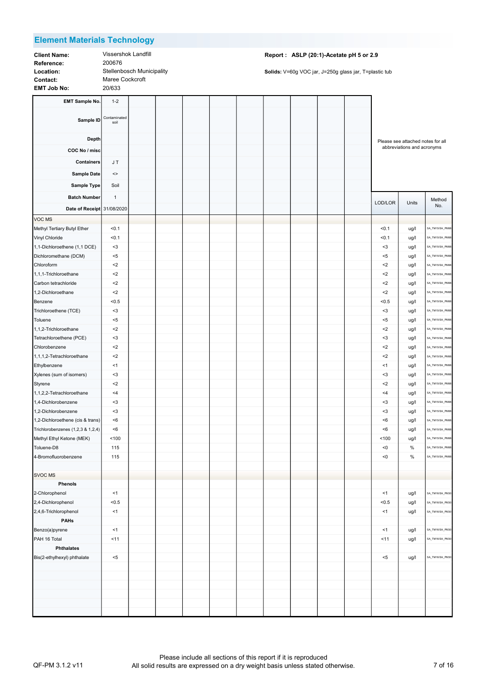| <b>Client Name</b> |
|--------------------|
| Reference:         |
| Location:          |
| Contact:           |
| <b>CMT</b> Ish Ne  |

EMT Job No: 20/633 Vissershok Landfill 200676 Stellenbosch Municipality Maree Cockcroft

### e: Client Name of Name of Name of Name of Name of Name of Name of Name of Name of Assembly Name of Assembly Na

| <b>EMT Sample No.</b>             | $1 - 2$              |  |  |  |  |                                                                 |       |                 |  |
|-----------------------------------|----------------------|--|--|--|--|-----------------------------------------------------------------|-------|-----------------|--|
| Sample ID                         | Contaminated<br>soil |  |  |  |  |                                                                 |       |                 |  |
| <b>Depth</b>                      |                      |  |  |  |  |                                                                 |       |                 |  |
|                                   |                      |  |  |  |  | Please see attached notes for all<br>abbreviations and acronyms |       |                 |  |
| COC No / misc                     |                      |  |  |  |  |                                                                 |       |                 |  |
| Containers                        | JT.                  |  |  |  |  |                                                                 |       |                 |  |
| <b>Sample Date</b>                | $\mathrel{<}$        |  |  |  |  |                                                                 |       |                 |  |
| Sample Type                       | Soil                 |  |  |  |  |                                                                 |       |                 |  |
| <b>Batch Number</b>               | $\mathbf{1}$         |  |  |  |  |                                                                 |       | Method          |  |
| Date of Receipt 31/08/2020        |                      |  |  |  |  | LOD/LOR                                                         | Units | No.             |  |
| <b>VOC MS</b>                     |                      |  |  |  |  |                                                                 |       |                 |  |
| Methyl Tertiary Butyl Ether       | < 0.1                |  |  |  |  | < 0.1                                                           | ug/l  | SA_TM15/SA_PM88 |  |
| Vinyl Chloride                    | < 0.1                |  |  |  |  | < 0.1                                                           | ug/l  | SA_TM15/SA_PM88 |  |
| 1,1-Dichloroethene (1,1 DCE)      | $3$                  |  |  |  |  | $3$                                                             | ug/l  | SA_TM15/SA_PM88 |  |
| Dichloromethane (DCM)             | $< 5$                |  |  |  |  | <5                                                              | ug/l  | SA_TM15/SA_PM88 |  |
| Chloroform                        | $2$                  |  |  |  |  | $2$                                                             | ug/l  | SA_TM15/SA_PM88 |  |
| 1,1,1-Trichloroethane             | $2$                  |  |  |  |  | <2                                                              | ug/l  | SA_TM15/SA_PM88 |  |
| Carbon tetrachloride              | $2$                  |  |  |  |  | $2$                                                             | ug/l  | SA_TM15/SA_PM88 |  |
| 1,2-Dichloroethane                | $2$                  |  |  |  |  | <2                                                              | ug/l  | SA_TM15/SA_PM88 |  |
| Benzene                           | < 0.5                |  |  |  |  | < 0.5                                                           | ug/l  | SA_TM15/SA_PM88 |  |
| Trichloroethene (TCE)             | $3$                  |  |  |  |  | $3$                                                             | ug/l  | SA_TM15/SA_PM88 |  |
| Toluene                           | $< 5$                |  |  |  |  | <5                                                              | ug/l  | SA_TM15/SA_PM88 |  |
| 1,1,2-Trichloroethane             | $2$                  |  |  |  |  | <2                                                              | ug/l  | SA_TM15/SA_PM88 |  |
| Tetrachloroethene (PCE)           | $3$                  |  |  |  |  | $3$                                                             | ug/l  | SA_TM15/SA_PM88 |  |
| Chlorobenzene                     | $2$                  |  |  |  |  | <2                                                              | ug/l  | SA_TM15/SA_PM88 |  |
| 1,1,1,2-Tetrachloroethane         | $2$                  |  |  |  |  | <2                                                              | ug/l  | SA_TM15/SA_PM88 |  |
| Ethylbenzene                      | < 1                  |  |  |  |  | <1                                                              | ug/l  | SA_TM15/SA_PM88 |  |
| Xylenes (sum of isomers)          | $3$                  |  |  |  |  | $3$                                                             | ug/l  | SA_TM15/SA_PM88 |  |
| Styrene                           | $2$                  |  |  |  |  | <2                                                              | ug/l  | SA_TM15/SA_PM88 |  |
| 1,1,2,2-Tetrachloroethane         | <4                   |  |  |  |  | <4                                                              | ug/l  | SA_TM15/SA_PM88 |  |
| 1,4-Dichlorobenzene               | $3$                  |  |  |  |  | $3$                                                             | ug/l  | SA_TM15/SA_PM88 |  |
| 1,2-Dichlorobenzene               | $3$                  |  |  |  |  | $3$                                                             | ug/l  | SA_TM15/SA_PM88 |  |
| 1,2-Dichloroethene (cis & trans)  | < 6                  |  |  |  |  | < 6                                                             | ug/l  | SA_TM15/SA_PM88 |  |
| Trichlorobenzenes (1,2,3 & 1,2,4) | < 6                  |  |  |  |  | <6                                                              | ug/l  | SA_TM15/SA_PM88 |  |
| Methyl Ethyl Ketone (MEK)         | 100                  |  |  |  |  | 100                                                             | ug/l  | SA_TM15/SA_PM88 |  |
| Toluene-D8                        | 115                  |  |  |  |  | < 0                                                             | $\%$  | SA_TM15/SA_PM88 |  |
| 4-Bromofluorobenzene              | 115                  |  |  |  |  | <0                                                              | %     | SA_TM15/SA_PM88 |  |
|                                   |                      |  |  |  |  |                                                                 |       |                 |  |
| SVOC MS                           |                      |  |  |  |  |                                                                 |       |                 |  |
| <b>Phenols</b>                    |                      |  |  |  |  |                                                                 |       |                 |  |
| 2-Chlorophenol                    | <1                   |  |  |  |  | <1                                                              | ug/l  | SA_TM16/SA_PM30 |  |
| 2,4-Dichlorophenol                | < 0.5                |  |  |  |  | < 0.5                                                           | ug/l  | SA_TM16/SA_PM30 |  |
| 2,4,6-Trichlorophenol             | <1                   |  |  |  |  | $<$ 1                                                           | ug/l  | SA_TM16/SA_PM30 |  |
| <b>PAHs</b>                       |                      |  |  |  |  |                                                                 |       |                 |  |
| Benzo(a)pyrene                    | <1                   |  |  |  |  | <1                                                              | ug/l  | SA_TM16/SA_PM30 |  |
| PAH 16 Total                      | 11                   |  |  |  |  | < 11                                                            | ug/l  | SA_TM16/SA_PM30 |  |
| <b>Phthalates</b>                 |                      |  |  |  |  |                                                                 |       |                 |  |
| Bis(2-ethylhexyl) phthalate       | $< 5$                |  |  |  |  | $<$ 5                                                           | ug/l  | SA_TM16/SA_PM30 |  |
|                                   |                      |  |  |  |  |                                                                 |       |                 |  |
|                                   |                      |  |  |  |  |                                                                 |       |                 |  |
|                                   |                      |  |  |  |  |                                                                 |       |                 |  |
|                                   |                      |  |  |  |  |                                                                 |       |                 |  |
|                                   |                      |  |  |  |  |                                                                 |       |                 |  |
|                                   |                      |  |  |  |  |                                                                 |       |                 |  |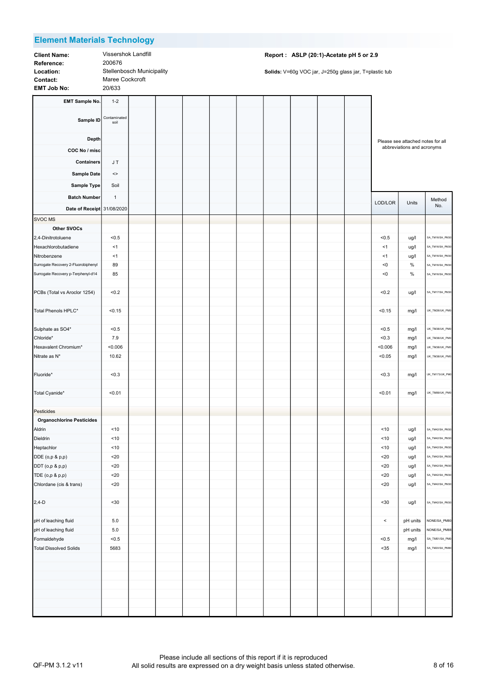| <b>Client Name:</b> | Vissers  |
|---------------------|----------|
| Reference:          | 200676   |
| Location:           | Stellent |
| Contact:            | Maree (  |
| <b>EMT Job No:</b>  | 20/633   |

Stellenbosch Municipality Maree Cockcroft Vissershok Landfill 200676

### e: Client Name of Name of Name of Name of Name of Name of Name of Name of Name of Assembly Name of Assembly Na

| <b>EMT Sample No.</b>               | $1 - 2$              |  |  |  |  |                                                                 |          |                 |  |  |
|-------------------------------------|----------------------|--|--|--|--|-----------------------------------------------------------------|----------|-----------------|--|--|
| Sample ID                           | Contaminated<br>soil |  |  |  |  |                                                                 |          |                 |  |  |
| <b>Depth</b>                        |                      |  |  |  |  |                                                                 |          |                 |  |  |
| COC No / misc                       |                      |  |  |  |  | Please see attached notes for all<br>abbreviations and acronyms |          |                 |  |  |
|                                     |                      |  |  |  |  |                                                                 |          |                 |  |  |
| <b>Containers</b>                   | J T                  |  |  |  |  |                                                                 |          |                 |  |  |
| <b>Sample Date</b>                  | $\mathrel{<}$        |  |  |  |  |                                                                 |          |                 |  |  |
| Sample Type                         | Soil                 |  |  |  |  |                                                                 |          |                 |  |  |
| <b>Batch Number</b>                 | $\mathbf{1}$         |  |  |  |  | LOD/LOR                                                         |          | Method          |  |  |
| Date of Receipt 31/08/2020          |                      |  |  |  |  |                                                                 | Units    | No.             |  |  |
| <b>SVOC MS</b>                      |                      |  |  |  |  |                                                                 |          |                 |  |  |
| Other SVOCs                         |                      |  |  |  |  |                                                                 |          |                 |  |  |
| 2,4-Dinitrotoluene                  | < 0.5                |  |  |  |  | < 0.5                                                           | ug/l     | SA_TM16/SA_PM30 |  |  |
| Hexachlorobutadiene                 | < 1                  |  |  |  |  | < 1                                                             | ug/l     | SA_TM16/SA_PM30 |  |  |
| Nitrobenzene                        | < 1                  |  |  |  |  | < 1                                                             | ug/l     | SA_TM16/SA_PM30 |  |  |
| Surrogate Recovery 2-Fluorobiphenyl | 89                   |  |  |  |  | <0                                                              | $\%$     | SA_TM16/SA_PM30 |  |  |
| Surrogate Recovery p-Terphenyl-d14  | 85                   |  |  |  |  | < 0                                                             | $\%$     | SA_TM16/SA_PM30 |  |  |
|                                     |                      |  |  |  |  |                                                                 |          |                 |  |  |
| PCBs (Total vs Aroclor 1254)        | < 0.2                |  |  |  |  | < 0.2                                                           | ug/l     | SA_TM17/SA_PM30 |  |  |
|                                     |                      |  |  |  |  |                                                                 |          |                 |  |  |
| Total Phenols HPLC*                 | < 0.15               |  |  |  |  | < 0.15                                                          | mg/l     | UK_TM26/UK_PM0  |  |  |
| Sulphate as SO4*                    | < 0.5                |  |  |  |  | < 0.5                                                           | mg/l     | UK_TM38/UK_PM0  |  |  |
| Chloride*                           | 7.9                  |  |  |  |  | < 0.3                                                           | mg/l     | UK_TM38/UK_PM0  |  |  |
| Hexavalent Chromium*                | < 0.006              |  |  |  |  | < 0.006                                                         | mg/l     | UK_TM38/UK_PM0  |  |  |
| Nitrate as N*                       | 10.62                |  |  |  |  | < 0.05                                                          | mg/l     | UK_TM38/UK_PM0  |  |  |
|                                     |                      |  |  |  |  |                                                                 |          |                 |  |  |
| Fluoride*                           | < 0.3                |  |  |  |  | < 0.3                                                           | mg/l     | UK_TM173/UK_PM0 |  |  |
| Total Cyanide*                      | < 0.01               |  |  |  |  | < 0.01                                                          | mg/l     | UK_TM89/UK_PM0  |  |  |
|                                     |                      |  |  |  |  |                                                                 |          |                 |  |  |
| Pesticides                          |                      |  |  |  |  |                                                                 |          |                 |  |  |
| <b>Organochlorine Pesticides</b>    |                      |  |  |  |  |                                                                 |          |                 |  |  |
| Aldrin                              | <10                  |  |  |  |  | ~10                                                             | ug/l     | SA_TM42/SA_PM30 |  |  |
| Dieldrin                            | ~10                  |  |  |  |  | < 10                                                            | ug/l     | SA_TM42/SA_PM30 |  |  |
| Heptachlor                          | ~10                  |  |  |  |  | ~10                                                             | ug/l     | SA_TM42/SA_PM30 |  |  |
| DDE (0,p & p,p)                     | $20$                 |  |  |  |  | $20$                                                            | ug/l     | SA_TM42/SA_PM30 |  |  |
| $DDT$ (o,p & p,p)                   | <20                  |  |  |  |  | <20                                                             | ug/l     | SA_TM42/SA_PM30 |  |  |
| TDE (0,p & p,p)                     | $20$                 |  |  |  |  | $20$                                                            | ug/l     | SA_TM42/SA_PM30 |  |  |
| Chlordane (cis & trans)             | $20$                 |  |  |  |  | $20$                                                            | ug/l     | SA_TM42/SA_PM30 |  |  |
| $2,4-D$                             | $30$                 |  |  |  |  | $30$                                                            | ug/l     | SA_TM42/SA_PM30 |  |  |
|                                     |                      |  |  |  |  |                                                                 |          |                 |  |  |
| pH of leaching fluid                | $5.0$                |  |  |  |  | $\,<$                                                           | pH units | NONE/SA_PM80    |  |  |
| pH of leaching fluid                | 5.0                  |  |  |  |  |                                                                 | pH units | NONE/SA_PM88    |  |  |
| Formaldehyde                        | < 0.5                |  |  |  |  | < 0.5                                                           | mg/l     | SA_TM51/SA_PM0  |  |  |
| <b>Total Dissolved Solids</b>       | 5683                 |  |  |  |  | $35$                                                            | mg/l     | SA_TM20/SA_PM80 |  |  |
|                                     |                      |  |  |  |  |                                                                 |          |                 |  |  |
|                                     |                      |  |  |  |  |                                                                 |          |                 |  |  |
|                                     |                      |  |  |  |  |                                                                 |          |                 |  |  |
|                                     |                      |  |  |  |  |                                                                 |          |                 |  |  |
|                                     |                      |  |  |  |  |                                                                 |          |                 |  |  |
|                                     |                      |  |  |  |  |                                                                 |          |                 |  |  |
|                                     |                      |  |  |  |  |                                                                 |          |                 |  |  |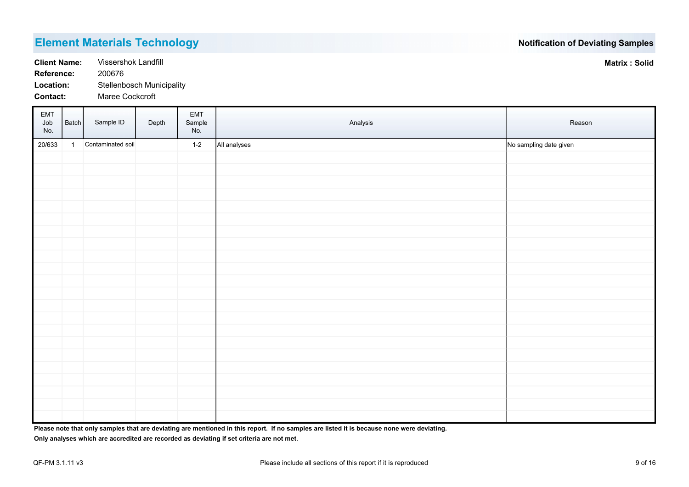Location: Stellenbosch Municipality Contact: Maree Cockcroft Client Name: Vissershok Landfill Reference: 200676

EMT Job No. Batch Sample ID Depth EMT Sample No. Analysis **Reason** 20/633 1 Contaminated soil **1-2** All analyses **No sampling date given** No sampling date given Contaminated soil

Please note that only samples that are deviating are mentioned in this report. If no samples are listed it is because none were deviating.

Only analyses which are accredited are recorded as deviating if set criteria are not met.

Matrix : Solid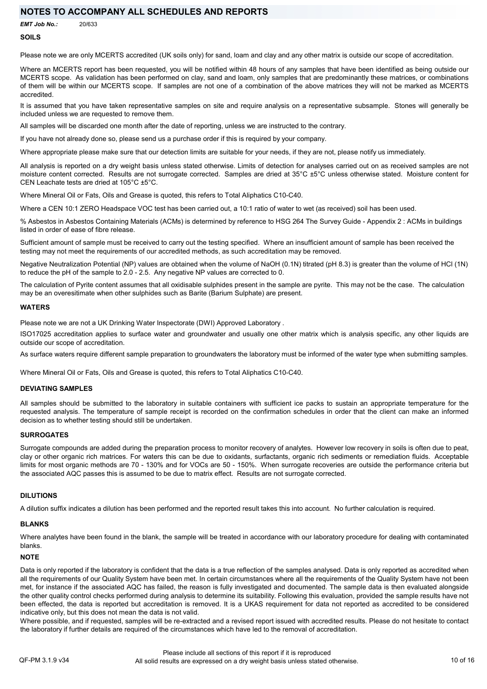# NOTES TO ACCOMPANY ALL SCHEDULES AND REPORTS

EMT Job No.: 20/633

### **SOILS**

Please note we are only MCERTS accredited (UK soils only) for sand, loam and clay and any other matrix is outside our scope of accreditation.

Where an MCERTS report has been requested, you will be notified within 48 hours of any samples that have been identified as being outside our MCERTS scope. As validation has been performed on clay, sand and loam, only samples that are predominantly these matrices, or combinations of them will be within our MCERTS scope. If samples are not one of a combination of the above matrices they will not be marked as MCERTS accredited.

It is assumed that you have taken representative samples on site and require analysis on a representative subsample. Stones will generally be included unless we are requested to remove them.

All samples will be discarded one month after the date of reporting, unless we are instructed to the contrary.

If you have not already done so, please send us a purchase order if this is required by your company.

Where appropriate please make sure that our detection limits are suitable for your needs, if they are not, please notify us immediately.

All analysis is reported on a dry weight basis unless stated otherwise. Limits of detection for analyses carried out on as received samples are not moisture content corrected. Results are not surrogate corrected. Samples are dried at 35°C ±5°C unless otherwise stated. Moisture content for CEN Leachate tests are dried at 105°C ±5°C.

Where Mineral Oil or Fats, Oils and Grease is quoted, this refers to Total Aliphatics C10-C40.

Where a CEN 10:1 ZERO Headspace VOC test has been carried out, a 10:1 ratio of water to wet (as received) soil has been used.

% Asbestos in Asbestos Containing Materials (ACMs) is determined by reference to HSG 264 The Survey Guide - Appendix 2 : ACMs in buildings listed in order of ease of fibre release.

Sufficient amount of sample must be received to carry out the testing specified. Where an insufficient amount of sample has been received the testing may not meet the requirements of our accredited methods, as such accreditation may be removed.

Negative Neutralization Potential (NP) values are obtained when the volume of NaOH (0.1N) titrated (pH 8.3) is greater than the volume of HCl (1N) to reduce the pH of the sample to 2.0 - 2.5. Any negative NP values are corrected to 0.

The calculation of Pyrite content assumes that all oxidisable sulphides present in the sample are pyrite. This may not be the case. The calculation may be an overesitimate when other sulphides such as Barite (Barium Sulphate) are present.

#### WATERS

Please note we are not a UK Drinking Water Inspectorate (DWI) Approved Laboratory .

ISO17025 accreditation applies to surface water and groundwater and usually one other matrix which is analysis specific, any other liquids are outside our scope of accreditation.

As surface waters require different sample preparation to groundwaters the laboratory must be informed of the water type when submitting samples.

Where Mineral Oil or Fats, Oils and Grease is quoted, this refers to Total Aliphatics C10-C40.

### DEVIATING SAMPLES

All samples should be submitted to the laboratory in suitable containers with sufficient ice packs to sustain an appropriate temperature for the requested analysis. The temperature of sample receipt is recorded on the confirmation schedules in order that the client can make an informed decision as to whether testing should still be undertaken.

#### **SURROGATES**

Surrogate compounds are added during the preparation process to monitor recovery of analytes. However low recovery in soils is often due to peat. clay or other organic rich matrices. For waters this can be due to oxidants, surfactants, organic rich sediments or remediation fluids. Acceptable limits for most organic methods are 70 - 130% and for VOCs are 50 - 150%. When surrogate recoveries are outside the performance criteria but the associated AQC passes this is assumed to be due to matrix effect. Results are not surrogate corrected.

#### DILUTIONS

A dilution suffix indicates a dilution has been performed and the reported result takes this into account. No further calculation is required.

#### **BLANKS**

Where analytes have been found in the blank, the sample will be treated in accordance with our laboratory procedure for dealing with contaminated blanks.

### **NOTE**

Data is only reported if the laboratory is confident that the data is a true reflection of the samples analysed. Data is only reported as accredited when all the requirements of our Quality System have been met. In certain circumstances where all the requirements of the Quality System have not been met, for instance if the associated AQC has failed, the reason is fully investigated and documented. The sample data is then evaluated alongside the other quality control checks performed during analysis to determine its suitability. Following this evaluation, provided the sample results have not been effected, the data is reported but accreditation is removed. It is a UKAS requirement for data not reported as accredited to be considered indicative only, but this does not mean the data is not valid.

Where possible, and if requested, samples will be re-extracted and a revised report issued with accredited results. Please do not hesitate to contact the laboratory if further details are required of the circumstances which have led to the removal of accreditation.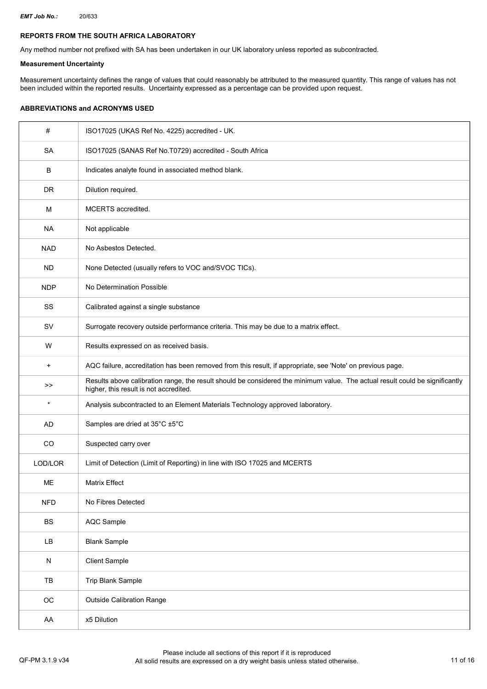EMT Job No.: 20/633

# REPORTS FROM THE SOUTH AFRICA LABORATORY

Any method number not prefixed with SA has been undertaken in our UK laboratory unless reported as subcontracted.

## Measurement Uncertainty

Measurement uncertainty defines the range of values that could reasonably be attributed to the measured quantity. This range of values has not been included within the reported results. Uncertainty expressed as a percentage can be provided upon request.

# ABBREVIATIONS and ACRONYMS USED

| #           | ISO17025 (UKAS Ref No. 4225) accredited - UK.                                                                                                                          |
|-------------|------------------------------------------------------------------------------------------------------------------------------------------------------------------------|
| <b>SA</b>   | ISO17025 (SANAS Ref No.T0729) accredited - South Africa                                                                                                                |
| В           | Indicates analyte found in associated method blank.                                                                                                                    |
| <b>DR</b>   | Dilution required.                                                                                                                                                     |
| М           | MCERTS accredited.                                                                                                                                                     |
| <b>NA</b>   | Not applicable                                                                                                                                                         |
| <b>NAD</b>  | No Asbestos Detected.                                                                                                                                                  |
| <b>ND</b>   | None Detected (usually refers to VOC and/SVOC TICs).                                                                                                                   |
| <b>NDP</b>  | No Determination Possible                                                                                                                                              |
| SS          | Calibrated against a single substance                                                                                                                                  |
| <b>SV</b>   | Surrogate recovery outside performance criteria. This may be due to a matrix effect.                                                                                   |
| W           | Results expressed on as received basis.                                                                                                                                |
| $\ddot{}$   | AQC failure, accreditation has been removed from this result, if appropriate, see 'Note' on previous page.                                                             |
| >>          | Results above calibration range, the result should be considered the minimum value. The actual result could be significantly<br>higher, this result is not accredited. |
| $\star$     | Analysis subcontracted to an Element Materials Technology approved laboratory.                                                                                         |
| AD          | Samples are dried at 35°C ±5°C                                                                                                                                         |
| CO          | Suspected carry over                                                                                                                                                   |
| LOD/LOR     | Limit of Detection (Limit of Reporting) in line with ISO 17025 and MCERTS                                                                                              |
| <b>ME</b>   | <b>Matrix Effect</b>                                                                                                                                                   |
| <b>NFD</b>  | No Fibres Detected                                                                                                                                                     |
| <b>BS</b>   | <b>AQC Sample</b>                                                                                                                                                      |
| LB          | <b>Blank Sample</b>                                                                                                                                                    |
| N           | <b>Client Sample</b>                                                                                                                                                   |
| TB          | Trip Blank Sample                                                                                                                                                      |
| $_{\rm OC}$ | <b>Outside Calibration Range</b>                                                                                                                                       |
| AA          | x5 Dilution                                                                                                                                                            |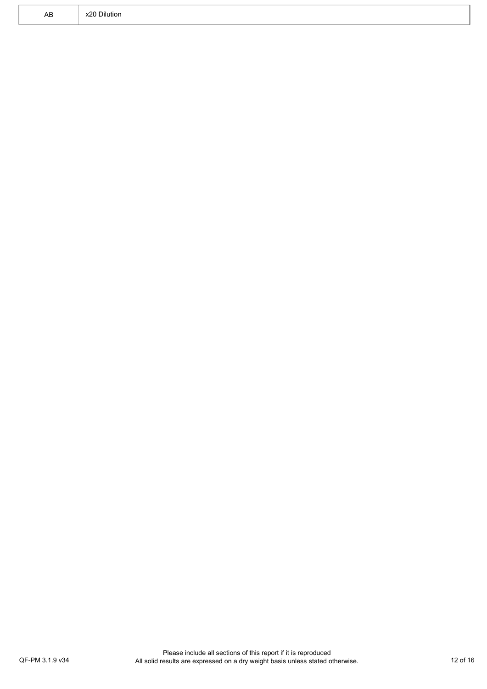| AB | x20 Dilution |  |
|----|--------------|--|
|----|--------------|--|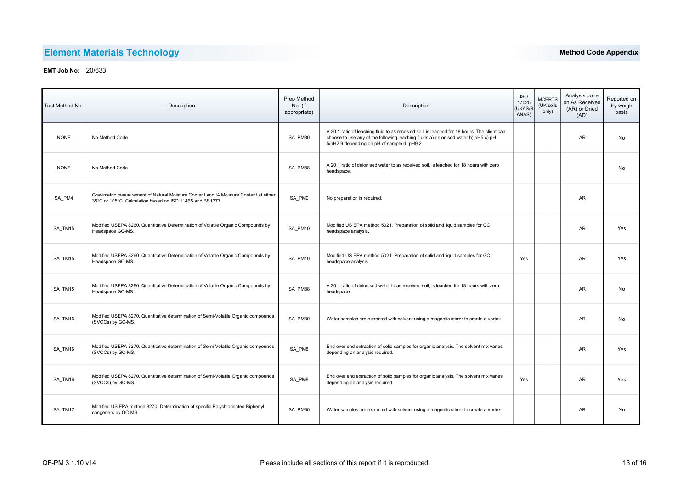| Test Method No. | Description                                                                                                                                       | Prep Method<br>No. (if<br>appropriate) | Description                                                                                                                                                                                                                     | <b>ISO</b><br>17025<br>(UKAS/S<br>ANAS) | <b>MCERTS</b><br>(UK soils<br>only) | Analysis done<br>on As Received<br>(AR) or Dried<br>(AD) | Reported on<br>dry weight<br>basis |
|-----------------|---------------------------------------------------------------------------------------------------------------------------------------------------|----------------------------------------|---------------------------------------------------------------------------------------------------------------------------------------------------------------------------------------------------------------------------------|-----------------------------------------|-------------------------------------|----------------------------------------------------------|------------------------------------|
| <b>NONE</b>     | No Method Code                                                                                                                                    | SA PM80                                | A 20:1 ratio of leaching fluid to as received soil, is leached for 18 hours. The client can<br>choose to use any of the following leaching fluids a) deionised water b) pH5 c) pH<br>5/pH2.9 depending on pH of sample d) pH9.2 |                                         |                                     | <b>AR</b>                                                | No                                 |
| <b>NONE</b>     | No Method Code                                                                                                                                    | SA PM88                                | A 20:1 ratio of deionised water to as received soil, is leached for 18 hours with zero<br>headspace.                                                                                                                            |                                         |                                     |                                                          | <b>No</b>                          |
| SA PM4          | Gravimetric measurement of Natural Moisture Content and % Moisture Content at either<br>35°C or 105°C. Calculation based on ISO 11465 and BS1377. | SA PM0                                 | No preparation is required.                                                                                                                                                                                                     |                                         |                                     | AR.                                                      |                                    |
| SA TM15         | Modified USEPA 8260. Quantitative Determination of Volatile Organic Compounds by<br>Headspace GC-MS.                                              | SA PM10                                | Modified US EPA method 5021. Preparation of solid and liquid samples for GC<br>headspace analysis.                                                                                                                              |                                         |                                     | <b>AR</b>                                                | Yes                                |
| SA TM15         | Modified USEPA 8260. Quantitative Determination of Volatile Organic Compounds by<br>Headspace GC-MS.                                              | SA PM10                                | Modified US EPA method 5021. Preparation of solid and liquid samples for GC<br>headspace analysis.                                                                                                                              | Yes                                     |                                     | <b>AR</b>                                                | Yes                                |
| SA_TM15         | Modified USEPA 8260. Quantitative Determination of Volatile Organic Compounds by<br>Headspace GC-MS.                                              | SA PM88                                | A 20:1 ratio of deionised water to as received soil, is leached for 18 hours with zero<br>headspace.                                                                                                                            |                                         |                                     | <b>AR</b>                                                | <b>No</b>                          |
| SA TM16         | Modified USEPA 8270. Quantitative determination of Semi-Volatile Organic compounds<br>(SVOCs) by GC-MS.                                           | SA PM30                                | Water samples are extracted with solvent using a magnetic stirrer to create a vortex.                                                                                                                                           |                                         |                                     | <b>AR</b>                                                | <b>No</b>                          |
| SA TM16         | Modified USEPA 8270. Quantitative determination of Semi-Volatile Organic compounds<br>(SVOCs) by GC-MS.                                           | SA PM8                                 | End over end extraction of solid samples for organic analysis. The solvent mix varies<br>depending on analysis required.                                                                                                        |                                         |                                     | AR.                                                      | Yes                                |
| SA TM16         | Modified USEPA 8270. Quantitative determination of Semi-Volatile Organic compounds<br>(SVOCs) by GC-MS.                                           | SA PM8                                 | End over end extraction of solid samples for organic analysis. The solvent mix varies<br>depending on analysis required.                                                                                                        | Yes                                     |                                     | <b>AR</b>                                                | Yes                                |
| SA TM17         | Modified US EPA method 8270. Determination of specific Polychlorinated Biphenyl<br>congeners by GC-MS.                                            | SA PM30                                | Water samples are extracted with solvent using a magnetic stirrer to create a vortex.                                                                                                                                           |                                         |                                     | AR.                                                      | No                                 |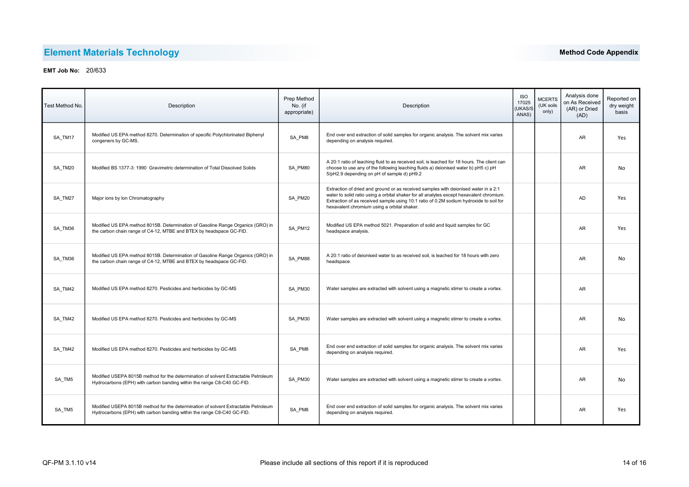| Test Method No. | Description                                                                                                                                                  | Prep Method<br>No. (if<br>appropriate) | Description                                                                                                                                                                                                                                                                                                              | <b>ISO</b><br>17025<br>(UKAS/S<br>ANAS) | <b>MCERTS</b><br>(UK soils<br>only) | Analysis done<br>on As Received<br>(AR) or Dried<br>(AD) | Reported on<br>dry weight<br>basis |
|-----------------|--------------------------------------------------------------------------------------------------------------------------------------------------------------|----------------------------------------|--------------------------------------------------------------------------------------------------------------------------------------------------------------------------------------------------------------------------------------------------------------------------------------------------------------------------|-----------------------------------------|-------------------------------------|----------------------------------------------------------|------------------------------------|
| SA TM17         | Modified US EPA method 8270. Determination of specific Polychlorinated Biphenyl<br>congeners by GC-MS.                                                       | SA PM8                                 | End over end extraction of solid samples for organic analysis. The solvent mix varies<br>depending on analysis required.                                                                                                                                                                                                 |                                         |                                     | AR.                                                      | Yes                                |
| SA TM20         | Modified BS 1377-3: 1990 Gravimetric determination of Total Dissolved Solids                                                                                 | SA PM80                                | A 20:1 ratio of leaching fluid to as received soil, is leached for 18 hours. The client can<br>choose to use any of the following leaching fluids a) deionised water b) pH5 c) pH<br>5/pH2.9 depending on pH of sample d) pH9.2                                                                                          |                                         |                                     | <b>AR</b>                                                | No                                 |
| SA_TM27         | Major ions by Ion Chromatography                                                                                                                             | SA PM20                                | Extraction of dried and ground or as received samples with deionised water in a 2:1<br>water to solid ratio using a orbital shaker for all analytes except hexavalent chromium.<br>Extraction of as received sample using 10:1 ratio of 0.2M sodium hydroxide to soil for<br>hexavalent chromium using a orbital shaker. |                                         |                                     | <b>AD</b>                                                | Yes                                |
| SA TM36         | Modified US EPA method 8015B. Determination of Gasoline Range Organics (GRO) in<br>the carbon chain range of C4-12, MTBE and BTEX by headspace GC-FID.       | SA PM12                                | Modified US EPA method 5021. Preparation of solid and liquid samples for GC<br>headspace analysis.                                                                                                                                                                                                                       |                                         |                                     | <b>AR</b>                                                | Yes                                |
| SA TM36         | Modified US EPA method 8015B. Determination of Gasoline Range Organics (GRO) in<br>the carbon chain range of C4-12, MTBE and BTEX by headspace GC-FID.       | SA PM88                                | A 20:1 ratio of deionised water to as received soil, is leached for 18 hours with zero<br>headspace.                                                                                                                                                                                                                     |                                         |                                     | AR                                                       | No                                 |
| SA TM42         | Modified US EPA method 8270. Pesticides and herbicides by GC-MS                                                                                              | SA PM30                                | Water samples are extracted with solvent using a magnetic stirrer to create a vortex.                                                                                                                                                                                                                                    |                                         |                                     | <b>AR</b>                                                |                                    |
| SA TM42         | Modified US EPA method 8270. Pesticides and herbicides by GC-MS                                                                                              | SA PM30                                | Water samples are extracted with solvent using a magnetic stirrer to create a vortex.                                                                                                                                                                                                                                    |                                         |                                     | <b>AR</b>                                                | No                                 |
| SA TM42         | Modified US EPA method 8270. Pesticides and herbicides by GC-MS                                                                                              | SA PM8                                 | End over end extraction of solid samples for organic analysis. The solvent mix varies<br>depending on analysis required.                                                                                                                                                                                                 |                                         |                                     | AR                                                       | Yes                                |
| SA TM5          | Modified USEPA 8015B method for the determination of solvent Extractable Petroleum<br>Hydrocarbons (EPH) with carbon banding within the range C8-C40 GC-FID. | SA PM30                                | Water samples are extracted with solvent using a magnetic stirrer to create a vortex.                                                                                                                                                                                                                                    |                                         |                                     | <b>AR</b>                                                | No                                 |
| SA TM5          | Modified USEPA 8015B method for the determination of solvent Extractable Petroleum<br>Hydrocarbons (EPH) with carbon banding within the range C8-C40 GC-FID. | SA PM8                                 | End over end extraction of solid samples for organic analysis. The solvent mix varies<br>depending on analysis required.                                                                                                                                                                                                 |                                         |                                     | <b>AR</b>                                                | Yes                                |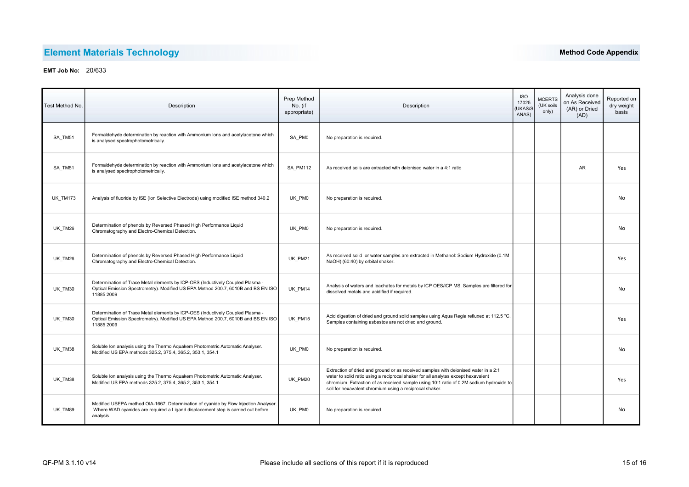| Test Method No. | Description                                                                                                                                                                           | Prep Method<br>No. (if<br>appropriate) | Description                                                                                                                                                                                                                                                                                                                    | <b>ISO</b><br>17025<br>(UKAS/S<br>ANAS) | <b>MCERTS</b><br>(UK soils<br>only) | Analysis done<br>on As Received<br>(AR) or Dried<br>(AD) | Reported on<br>dry weight<br>basis |
|-----------------|---------------------------------------------------------------------------------------------------------------------------------------------------------------------------------------|----------------------------------------|--------------------------------------------------------------------------------------------------------------------------------------------------------------------------------------------------------------------------------------------------------------------------------------------------------------------------------|-----------------------------------------|-------------------------------------|----------------------------------------------------------|------------------------------------|
| SA TM51         | Formaldehyde determination by reaction with Ammonium lons and acetylacetone which<br>is analysed spectrophotometrically.                                                              | SA PM0                                 | No preparation is required.                                                                                                                                                                                                                                                                                                    |                                         |                                     |                                                          |                                    |
| SA TM51         | Formaldehyde determination by reaction with Ammonium lons and acetylacetone which<br>is analysed spectrophotometrically.                                                              | SA PM112                               | As received soils are extracted with deionised water in a 4:1 ratio                                                                                                                                                                                                                                                            |                                         |                                     | <b>AR</b>                                                | Yes                                |
| <b>UK TM173</b> | Analysis of fluoride by ISE (Ion Selective Electrode) using modified ISE method 340.2                                                                                                 | UK PM0                                 | No preparation is required.                                                                                                                                                                                                                                                                                                    |                                         |                                     |                                                          | No                                 |
| UK TM26         | Determination of phenols by Reversed Phased High Performance Liquid<br>Chromatography and Electro-Chemical Detection.                                                                 | UK PM0                                 | No preparation is required.                                                                                                                                                                                                                                                                                                    |                                         |                                     |                                                          | No                                 |
| UK TM26         | Determination of phenols by Reversed Phased High Performance Liquid<br>Chromatography and Electro-Chemical Detection.                                                                 | UK PM21                                | As received solid or water samples are extracted in Methanol: Sodium Hydroxide (0.1M<br>NaOH) (60:40) by orbital shaker.                                                                                                                                                                                                       |                                         |                                     |                                                          | Yes                                |
| UK TM30         | Determination of Trace Metal elements by ICP-OES (Inductively Coupled Plasma -<br>Optical Emission Spectrometry). Modified US EPA Method 200.7, 6010B and BS EN ISO<br>11885 2009     | UK PM14                                | Analysis of waters and leachates for metals by ICP OES/ICP MS. Samples are filtered for<br>dissolved metals and acidified if required.                                                                                                                                                                                         |                                         |                                     |                                                          | No                                 |
| UK TM30         | Determination of Trace Metal elements by ICP-OES (Inductively Coupled Plasma -<br>Optical Emission Spectrometry). Modified US EPA Method 200.7, 6010B and BS EN ISO<br>11885 2009     | UK PM15                                | Acid digestion of dried and ground solid samples using Aqua Regia refluxed at 112.5 °C.<br>Samples containing asbestos are not dried and ground.                                                                                                                                                                               |                                         |                                     |                                                          | Yes                                |
| UK_TM38         | Soluble Ion analysis using the Thermo Aquakem Photometric Automatic Analyser.<br>Modified US EPA methods 325.2, 375.4, 365.2, 353.1, 354.1                                            | UK PM0                                 | No preparation is required.                                                                                                                                                                                                                                                                                                    |                                         |                                     |                                                          | No                                 |
| UK TM38         | Soluble Ion analysis using the Thermo Aquakem Photometric Automatic Analyser.<br>Modified US EPA methods 325.2, 375.4, 365.2, 353.1, 354.1                                            | UK PM20                                | Extraction of dried and ground or as received samples with deionised water in a 2:1<br>water to solid ratio using a reciprocal shaker for all analytes except hexavalent<br>chromium. Extraction of as received sample using 10:1 ratio of 0.2M sodium hydroxide to<br>soil for hexavalent chromium using a reciprocal shaker. |                                         |                                     |                                                          | Yes                                |
| UK TM89         | Modified USEPA method OIA-1667. Determination of cyanide by Flow Injection Analyser.<br>Where WAD cyanides are required a Ligand displacement step is carried out before<br>analysis. | UK PM0                                 | No preparation is required.                                                                                                                                                                                                                                                                                                    |                                         |                                     |                                                          | No                                 |